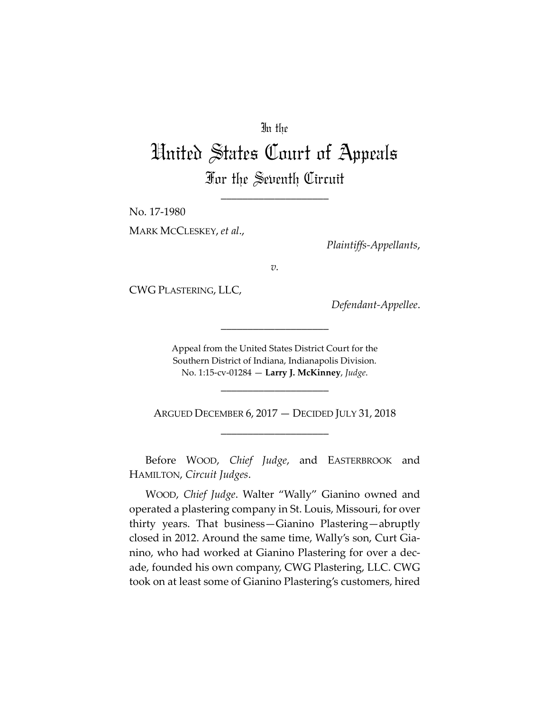## In the

# United States Court of Appeals For the Seventh Circuit

\_\_\_\_\_\_\_\_\_\_\_\_\_\_\_\_\_\_\_\_

No. 17‐1980

MARK MCCLESKEY, *et al*.,

*Plaintiffs‐Appellants*,

*v.*

CWG PLASTERING, LLC,

*Defendant‐Appellee*.

Appeal from the United States District Court for the Southern District of Indiana, Indianapolis Division. No. 1:15‐cv‐01284 — **Larry J. McKinney**, *Judge*.

\_\_\_\_\_\_\_\_\_\_\_\_\_\_\_\_\_\_\_\_

ARGUED DECEMBER 6, 2017 — DECIDED JULY 31, 2018 \_\_\_\_\_\_\_\_\_\_\_\_\_\_\_\_\_\_\_\_

\_\_\_\_\_\_\_\_\_\_\_\_\_\_\_\_\_\_\_\_

Before WOOD, *Chief Judge*, and EASTERBROOK and HAMILTON, *Circuit Judges*.

WOOD, *Chief Judge*. Walter "Wally" Gianino owned and operated a plastering company in St. Louis, Missouri, for over thirty years. That business—Gianino Plastering—abruptly closed in 2012. Around the same time, Wally's son, Curt Gia‐ nino, who had worked at Gianino Plastering for over a dec‐ ade, founded his own company, CWG Plastering, LLC. CWG took on at least some of Gianino Plastering's customers, hired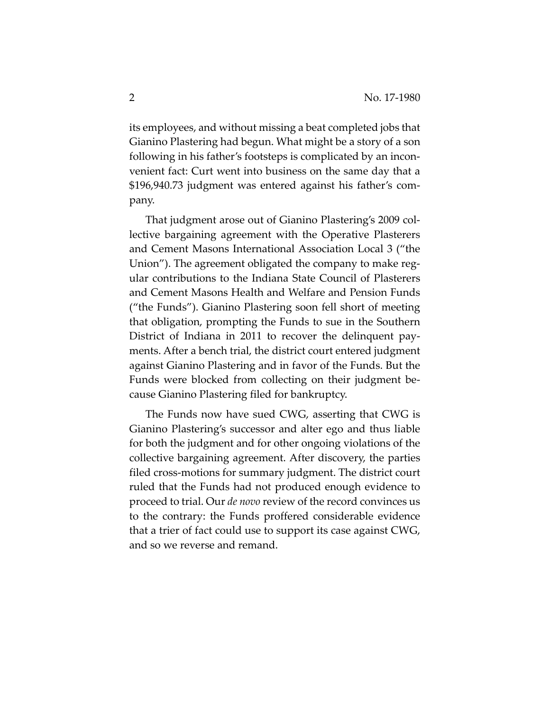its employees, and without missing a beat completed jobs that Gianino Plastering had begun. What might be a story of a son following in his father's footsteps is complicated by an incon‐ venient fact: Curt went into business on the same day that a \$196,940.73 judgment was entered against his father's com‐ pany.

That judgment arose out of Gianino Plastering's 2009 col‐ lective bargaining agreement with the Operative Plasterers and Cement Masons International Association Local 3 ("the Union"). The agreement obligated the company to make reg‐ ular contributions to the Indiana State Council of Plasterers and Cement Masons Health and Welfare and Pension Funds ("the Funds"). Gianino Plastering soon fell short of meeting that obligation, prompting the Funds to sue in the Southern District of Indiana in 2011 to recover the delinquent pay‐ ments. After a bench trial, the district court entered judgment against Gianino Plastering and in favor of the Funds. But the Funds were blocked from collecting on their judgment because Gianino Plastering filed for bankruptcy.

The Funds now have sued CWG, asserting that CWG is Gianino Plastering's successor and alter ego and thus liable for both the judgment and for other ongoing violations of the collective bargaining agreement. After discovery, the parties filed cross-motions for summary judgment. The district court ruled that the Funds had not produced enough evidence to proceed to trial. Our *de novo* review of the record convinces us to the contrary: the Funds proffered considerable evidence that a trier of fact could use to support its case against CWG, and so we reverse and remand.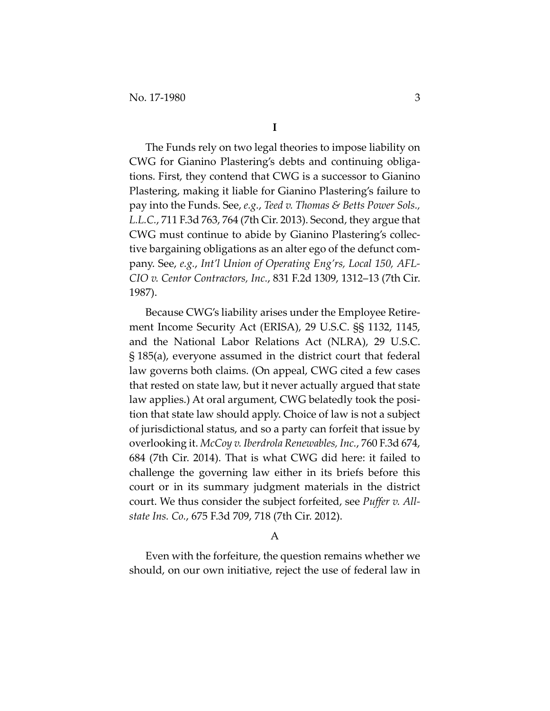The Funds rely on two legal theories to impose liability on CWG for Gianino Plastering's debts and continuing obliga‐ tions. First, they contend that CWG is a successor to Gianino Plastering, making it liable for Gianino Plastering's failure to pay into the Funds. See, *e.g.*, *Teed v. Thomas & Betts Power Sols., L.L.C.*, 711 F.3d 763, 764 (7th Cir. 2013). Second, they argue that CWG must continue to abide by Gianino Plastering's collec‐ tive bargaining obligations as an alter ego of the defunct com‐ pany. See, *e.g.*, *Int'l Union of Operating Eng'rs, Local 150, AFL‐ CIO v. Centor Contractors, Inc.*, 831 F.2d 1309, 1312–13 (7th Cir. 1987).

Because CWG's liability arises under the Employee Retire‐ ment Income Security Act (ERISA), 29 U.S.C. §§ 1132, 1145, and the National Labor Relations Act (NLRA), 29 U.S.C. § 185(a), everyone assumed in the district court that federal law governs both claims. (On appeal, CWG cited a few cases that rested on state law, but it never actually argued that state law applies.) At oral argument, CWG belatedly took the position that state law should apply. Choice of law is not a subject of jurisdictional status, and so a party can forfeit that issue by overlooking it. *McCoy v. Iberdrola Renewables, Inc.*, 760 F.3d 674, 684 (7th Cir. 2014). That is what CWG did here: it failed to challenge the governing law either in its briefs before this court or in its summary judgment materials in the district court. We thus consider the subject forfeited, see *Puffer v. All‐ state Ins. Co.*, 675 F.3d 709, 718 (7th Cir. 2012).

#### A

Even with the forfeiture, the question remains whether we should, on our own initiative, reject the use of federal law in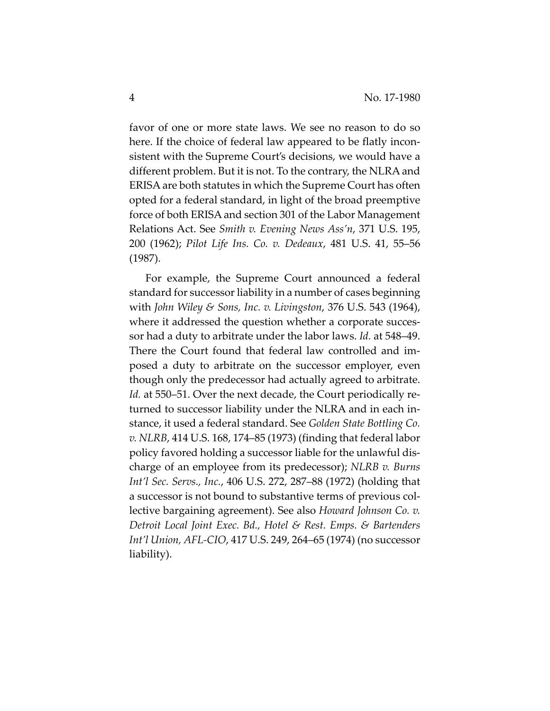favor of one or more state laws. We see no reason to do so here. If the choice of federal law appeared to be flatly inconsistent with the Supreme Court's decisions, we would have a different problem. But it is not. To the contrary, the NLRA and ERISAare both statutes in which the Supreme Court has often opted for a federal standard, in light of the broad preemptive force of both ERISA and section 301 of the Labor Management Relations Act. See *Smith v. Evening News Ass'n*, 371 U.S. 195, 200 (1962); *Pilot Life Ins. Co. v. Dedeaux*, 481 U.S. 41, 55–56 (1987).

For example, the Supreme Court announced a federal standard for successor liability in a number of cases beginning with *John Wiley & Sons, Inc. v. Livingston*, 376 U.S. 543 (1964), where it addressed the question whether a corporate successor had a duty to arbitrate under the labor laws. *Id.* at 548–49. There the Court found that federal law controlled and im‐ posed a duty to arbitrate on the successor employer, even though only the predecessor had actually agreed to arbitrate. Id. at 550–51. Over the next decade, the Court periodically returned to successor liability under the NLRA and in each in‐ stance, it used a federal standard. See *Golden State Bottling Co. v. NLRB*, 414 U.S. 168, 174–85 (1973) (finding that federal labor policy favored holding a successor liable for the unlawful dis‐ charge of an employee from its predecessor); *NLRB v. Burns Int'l Sec. Servs., Inc.*, 406 U.S. 272, 287–88 (1972) (holding that a successor is not bound to substantive terms of previous col‐ lective bargaining agreement). See also *Howard Johnson Co. v. Detroit Local Joint Exec. Bd., Hotel & Rest. Emps. & Bartenders Int'l Union, AFL‐CIO*, 417 U.S. 249, 264–65 (1974) (no successor liability).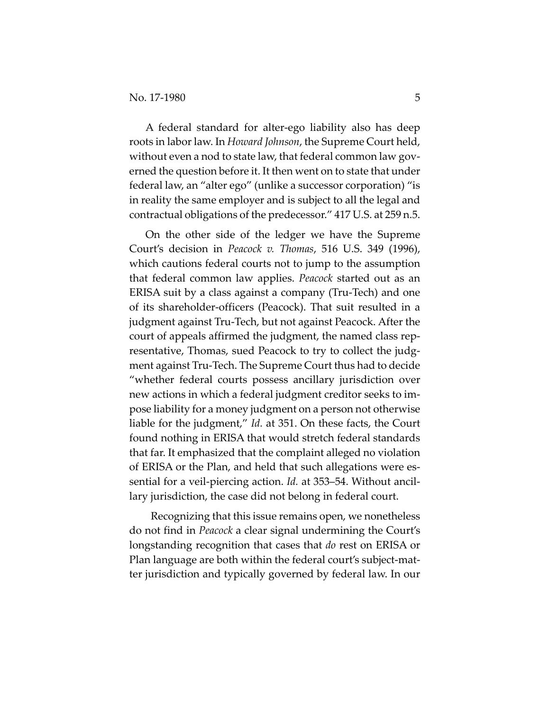A federal standard for alter‐ego liability also has deep roots in labor law. In *Howard Johnson*, the Supreme Court held, without even a nod to state law, that federal common law governed the question before it. It then went on to state that under federal law, an "alter ego" (unlike a successor corporation) "is in reality the same employer and is subject to all the legal and contractual obligations of the predecessor." 417 U.S. at 259 n.5.

On the other side of the ledger we have the Supreme Court's decision in *Peacock v. Thomas*, 516 U.S. 349 (1996), which cautions federal courts not to jump to the assumption that federal common law applies. *Peacock* started out as an ERISA suit by a class against a company (Tru‐Tech) and one of its shareholder‐officers (Peacock). That suit resulted in a judgment against Tru‐Tech, but not against Peacock. After the court of appeals affirmed the judgment, the named class rep‐ resentative, Thomas, sued Peacock to try to collect the judgment against Tru‐Tech. The Supreme Court thus had to decide "whether federal courts possess ancillary jurisdiction over new actions in which a federal judgment creditor seeks to im‐ pose liability for a money judgment on a person not otherwise liable for the judgment," *Id.* at 351. On these facts, the Court found nothing in ERISA that would stretch federal standards that far. It emphasized that the complaint alleged no violation of ERISA or the Plan, and held that such allegations were es‐ sential for a veil‐piercing action. *Id.* at 353–54. Without ancil‐ lary jurisdiction, the case did not belong in federal court.

 Recognizing that this issue remains open, we nonetheless do not find in *Peacock* a clear signal undermining the Court's longstanding recognition that cases that *do* rest on ERISA or Plan language are both within the federal court's subject-matter jurisdiction and typically governed by federal law. In our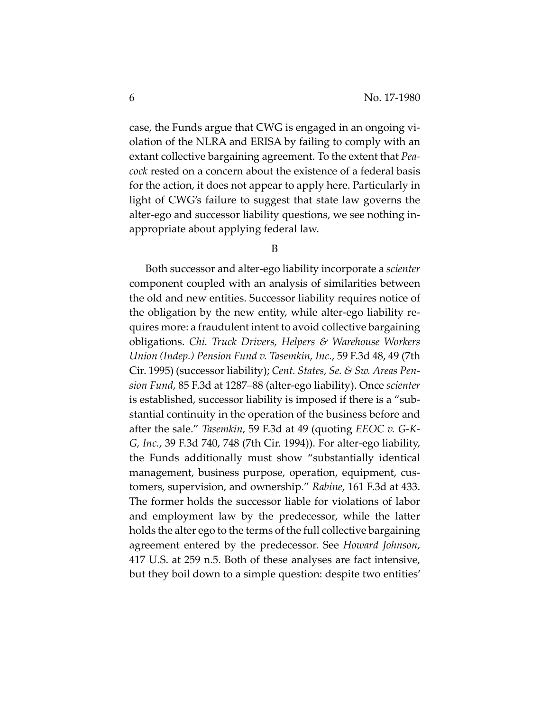case, the Funds argue that CWG is engaged in an ongoing vi‐ olation of the NLRA and ERISA by failing to comply with an extant collective bargaining agreement. To the extent that *Pea‐ cock* rested on a concern about the existence of a federal basis for the action, it does not appear to apply here. Particularly in light of CWG's failure to suggest that state law governs the alter‐ego and successor liability questions, we see nothing in‐ appropriate about applying federal law.

B

Both successor and alter‐ego liability incorporate a *scienter* component coupled with an analysis of similarities between the old and new entities. Successor liability requires notice of the obligation by the new entity, while alter‐ego liability re‐ quires more: a fraudulent intent to avoid collective bargaining obligations. *Chi. Truck Drivers, Helpers & Warehouse Workers Union (Indep.) Pension Fund v. Tasemkin, Inc.*, 59 F.3d 48, 49 (7th Cir. 1995) (successor liability); *Cent. States, Se. & Sw. Areas Pen‐ sion Fund*, 85 F.3d at 1287–88 (alter‐ego liability). Once *scienter* is established, successor liability is imposed if there is a "sub‐ stantial continuity in the operation of the business before and after the sale." *Tasemkin*, 59 F.3d at 49 (quoting *EEOC v. G‐K‐ G, Inc.*, 39 F.3d 740, 748 (7th Cir. 1994)). For alter‐ego liability, the Funds additionally must show "substantially identical management, business purpose, operation, equipment, customers, supervision, and ownership." *Rabine*, 161 F.3d at 433. The former holds the successor liable for violations of labor and employment law by the predecessor, while the latter holds the alter ego to the terms of the full collective bargaining agreement entered by the predecessor. See *Howard Johnson*, 417 U.S. at 259 n.5. Both of these analyses are fact intensive, but they boil down to a simple question: despite two entities'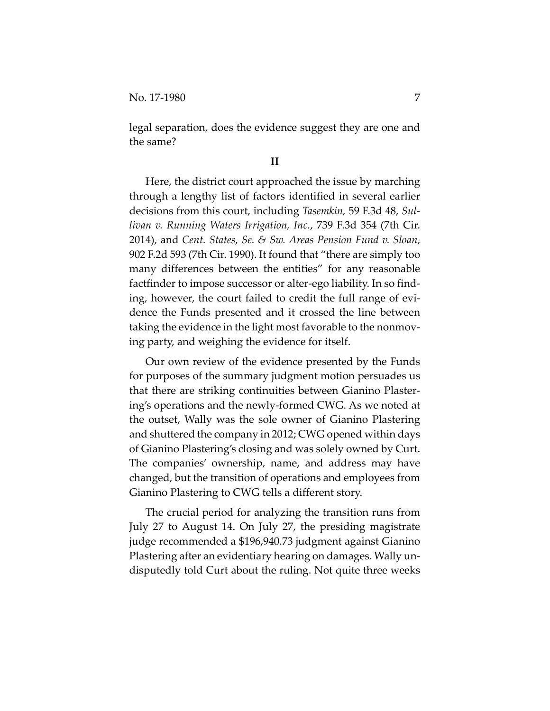legal separation, does the evidence suggest they are one and the same?

### **II**

Here, the district court approached the issue by marching through a lengthy list of factors identified in several earlier decisions from this court, including *Tasemkin,* 59 F.3d 48, *Sul‐ livan v. Running Waters Irrigation, Inc.*, 739 F.3d 354 (7th Cir. 2014), and *Cent. States, Se. & Sw. Areas Pension Fund v. Sloan*, 902 F.2d 593 (7th Cir. 1990). It found that "there are simply too many differences between the entities" for any reasonable factfinder to impose successor or alter‐ego liability. In so find‐ ing, however, the court failed to credit the full range of evi‐ dence the Funds presented and it crossed the line between taking the evidence in the light most favorable to the nonmov‐ ing party, and weighing the evidence for itself.

Our own review of the evidence presented by the Funds for purposes of the summary judgment motion persuades us that there are striking continuities between Gianino Plaster‐ ing's operations and the newly‐formed CWG. As we noted at the outset, Wally was the sole owner of Gianino Plastering and shuttered the company in 2012; CWG opened within days of Gianino Plastering's closing and was solely owned by Curt. The companies' ownership, name, and address may have changed, but the transition of operations and employees from Gianino Plastering to CWG tells a different story.

The crucial period for analyzing the transition runs from July 27 to August 14. On July 27, the presiding magistrate judge recommended a \$196,940.73 judgment against Gianino Plastering after an evidentiary hearing on damages. Wally un‐ disputedly told Curt about the ruling. Not quite three weeks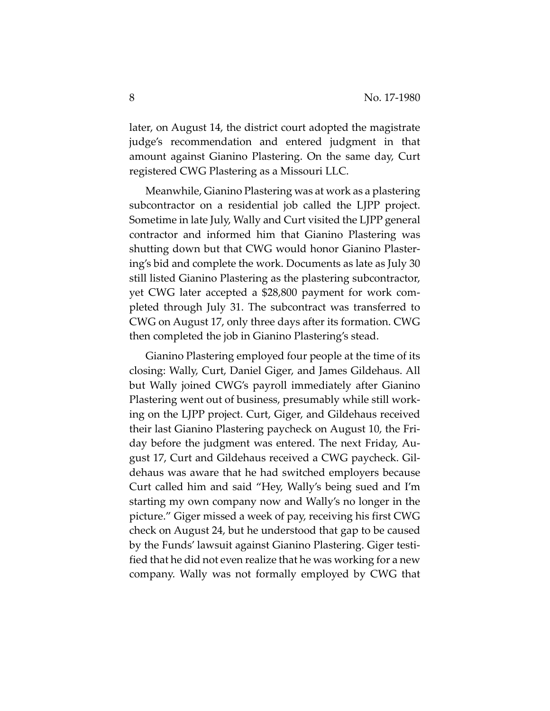later, on August 14, the district court adopted the magistrate judge's recommendation and entered judgment in that amount against Gianino Plastering. On the same day, Curt registered CWG Plastering as a Missouri LLC.

Meanwhile, Gianino Plastering was at work as a plastering subcontractor on a residential job called the LJPP project. Sometime in late July, Wally and Curt visited the LJPP general contractor and informed him that Gianino Plastering was shutting down but that CWG would honor Gianino Plaster‐ ing's bid and complete the work. Documents as late as July 30 still listed Gianino Plastering as the plastering subcontractor, yet CWG later accepted a \$28,800 payment for work com‐ pleted through July 31. The subcontract was transferred to CWG on August 17, only three days after its formation. CWG then completed the job in Gianino Plastering's stead.

Gianino Plastering employed four people at the time of its closing: Wally, Curt, Daniel Giger, and James Gildehaus. All but Wally joined CWG's payroll immediately after Gianino Plastering went out of business, presumably while still work‐ ing on the LJPP project. Curt, Giger, and Gildehaus received their last Gianino Plastering paycheck on August 10, the Fri‐ day before the judgment was entered. The next Friday, Au‐ gust 17, Curt and Gildehaus received a CWG paycheck. Gil‐ dehaus was aware that he had switched employers because Curt called him and said "Hey, Wally's being sued and I'm starting my own company now and Wally's no longer in the picture." Giger missed a week of pay, receiving his first CWG check on August 24, but he understood that gap to be caused by the Funds' lawsuit against Gianino Plastering. Giger testi‐ fied that he did not even realize that he was working for a new company. Wally was not formally employed by CWG that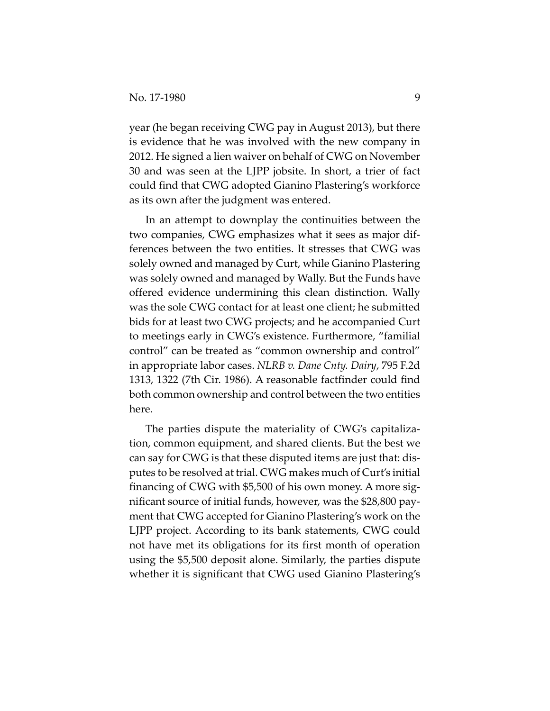year (he began receiving CWG pay in August 2013), but there is evidence that he was involved with the new company in 2012. He signed a lien waiver on behalf of CWG on November 30 and was seen at the LJPP jobsite. In short, a trier of fact could find that CWG adopted Gianino Plastering's workforce as its own after the judgment was entered.

In an attempt to downplay the continuities between the two companies, CWG emphasizes what it sees as major dif‐ ferences between the two entities. It stresses that CWG was solely owned and managed by Curt, while Gianino Plastering was solely owned and managed by Wally. But the Funds have offered evidence undermining this clean distinction. Wally was the sole CWG contact for at least one client; he submitted bids for at least two CWG projects; and he accompanied Curt to meetings early in CWG's existence. Furthermore, "familial control" can be treated as "common ownership and control" in appropriate labor cases. *NLRB v. Dane Cnty. Dairy*, 795 F.2d 1313, 1322 (7th Cir. 1986). A reasonable factfinder could find both common ownership and control between the two entities here.

The parties dispute the materiality of CWG's capitaliza‐ tion, common equipment, and shared clients. But the best we can say for CWG is that these disputed items are just that: dis‐ putes to be resolved at trial. CWG makes much of Curt's initial financing of CWG with \$5,500 of his own money. A more sig‐ nificant source of initial funds, however, was the \$28,800 pay‐ ment that CWG accepted for Gianino Plastering's work on the LJPP project. According to its bank statements, CWG could not have met its obligations for its first month of operation using the \$5,500 deposit alone. Similarly, the parties dispute whether it is significant that CWG used Gianino Plastering's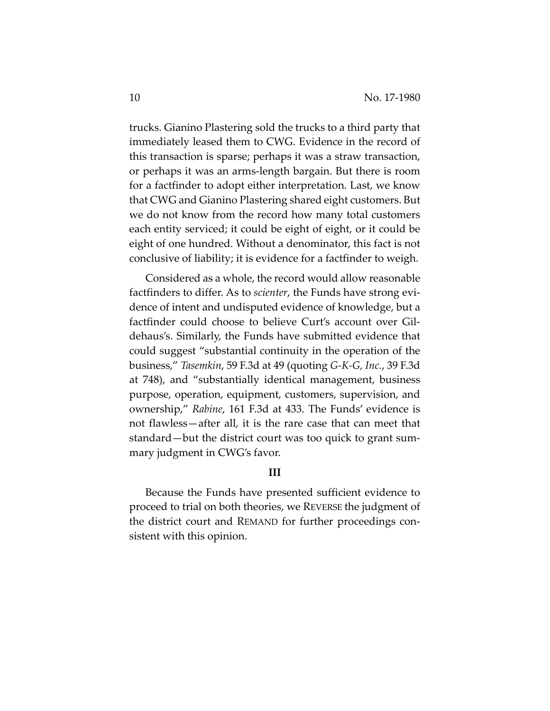trucks. Gianino Plastering sold the trucks to a third party that immediately leased them to CWG. Evidence in the record of this transaction is sparse; perhaps it was a straw transaction, or perhaps it was an arms‐length bargain. But there is room for a factfinder to adopt either interpretation. Last, we know that CWG and Gianino Plastering shared eight customers. But we do not know from the record how many total customers each entity serviced; it could be eight of eight, or it could be eight of one hundred. Without a denominator, this fact is not conclusive of liability; it is evidence for a factfinder to weigh.

Considered as a whole, the record would allow reasonable factfinders to differ. As to *scienter*, the Funds have strong evidence of intent and undisputed evidence of knowledge, but a factfinder could choose to believe Curt's account over Gil‐ dehaus's. Similarly, the Funds have submitted evidence that could suggest "substantial continuity in the operation of the business," *Tasemkin*, 59 F.3d at 49 (quoting *G‐K‐G, Inc.*, 39 F.3d at 748), and "substantially identical management, business purpose, operation, equipment, customers, supervision, and ownership," *Rabine*, 161 F.3d at 433. The Funds' evidence is not flawless—after all, it is the rare case that can meet that standard—but the district court was too quick to grant sum‐ mary judgment in CWG's favor.

#### **III**

Because the Funds have presented sufficient evidence to proceed to trial on both theories, we REVERSE the judgment of the district court and REMAND for further proceedings con‐ sistent with this opinion.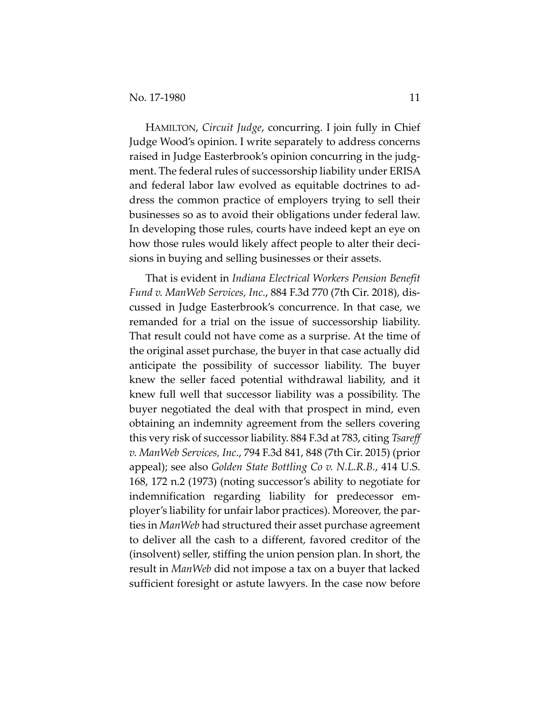HAMILTON, *Circuit Judge*, concurring. I join fully in Chief Judge Wood's opinion. I write separately to address concerns raised in Judge Easterbrook's opinion concurring in the judg‐ ment. The federal rules of successorship liability under ERISA and federal labor law evolved as equitable doctrines to ad‐ dress the common practice of employers trying to sell their businesses so as to avoid their obligations under federal law. In developing those rules, courts have indeed kept an eye on how those rules would likely affect people to alter their decisions in buying and selling businesses or their assets.

That is evident in *Indiana Electrical Workers Pension Benefit Fund v. ManWeb Services, Inc.*, 884 F.3d 770 (7th Cir. 2018), dis‐ cussed in Judge Easterbrook's concurrence. In that case, we remanded for a trial on the issue of successorship liability. That result could not have come as a surprise. At the time of the original asset purchase, the buyer in that case actually did anticipate the possibility of successor liability. The buyer knew the seller faced potential withdrawal liability, and it knew full well that successor liability was a possibility. The buyer negotiated the deal with that prospect in mind, even obtaining an indemnity agreement from the sellers covering this very risk of successorliability. 884 F.3d at 783, citing *Tsareff v. ManWeb Services, Inc*., 794 F.3d 841, 848 (7th Cir. 2015) (prior appeal); see also *Golden State Bottling Co v. N.L.R.B.*, 414 U.S. 168, 172 n.2 (1973) (noting successor's ability to negotiate for indemnification regarding liability for predecessor em‐ ployer's liability for unfair labor practices). Moreover, the par‐ ties in *ManWeb* had structured their asset purchase agreement to deliver all the cash to a different, favored creditor of the (insolvent) seller, stiffing the union pension plan. In short, the result in *ManWeb* did not impose a tax on a buyer that lacked sufficient foresight or astute lawyers. In the case now before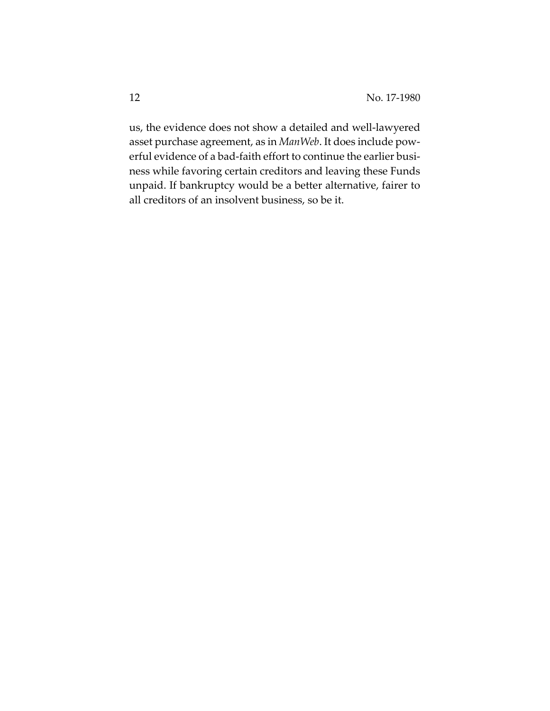us, the evidence does not show a detailed and well‐lawyered asset purchase agreement, as in *ManWeb*. It does include pow‐ erful evidence of a bad-faith effort to continue the earlier business while favoring certain creditors and leaving these Funds unpaid. If bankruptcy would be a better alternative, fairer to all creditors of an insolvent business, so be it.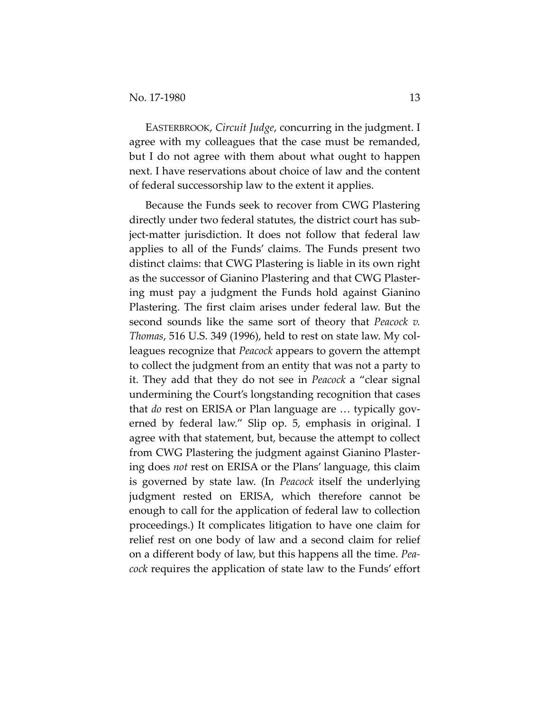EASTERBROOK, *Circuit Judge*, concurring in the judgment. I agree with my colleagues that the case must be remanded, but I do not agree with them about what ought to happen next. I have reservations about choice of law and the content of federal successorship law to the extent it applies.

Because the Funds seek to recover from CWG Plastering directly under two federal statutes, the district court has sub‐ ject‐matter jurisdiction. It does not follow that federal law applies to all of the Funds' claims. The Funds present two distinct claims: that CWG Plastering is liable in its own right as the successor of Gianino Plastering and that CWG Plaster‐ ing must pay a judgment the Funds hold against Gianino Plastering. The first claim arises under federal law. But the second sounds like the same sort of theory that *Peacock v. Thomas*, 516 U.S. 349 (1996), held to rest on state law. My col‐ leagues recognize that *Peacock* appears to govern the attempt to collect the judgment from an entity that was not a party to it. They add that they do not see in *Peacock* a "clear signal undermining the Court's longstanding recognition that cases that *do* rest on ERISA or Plan language are … typically gov‐ erned by federal law." Slip op. 5, emphasis in original. I agree with that statement, but, because the attempt to collect from CWG Plastering the judgment against Gianino Plaster‐ ing does *not* rest on ERISA or the Plans' language, this claim is governed by state law. (In *Peacock* itself the underlying judgment rested on ERISA, which therefore cannot be enough to call for the application of federal law to collection proceedings.) It complicates litigation to have one claim for relief rest on one body of law and a second claim for relief on a different body of law, but this happens all the time. *Pea‐ cock* requires the application of state law to the Funds' effort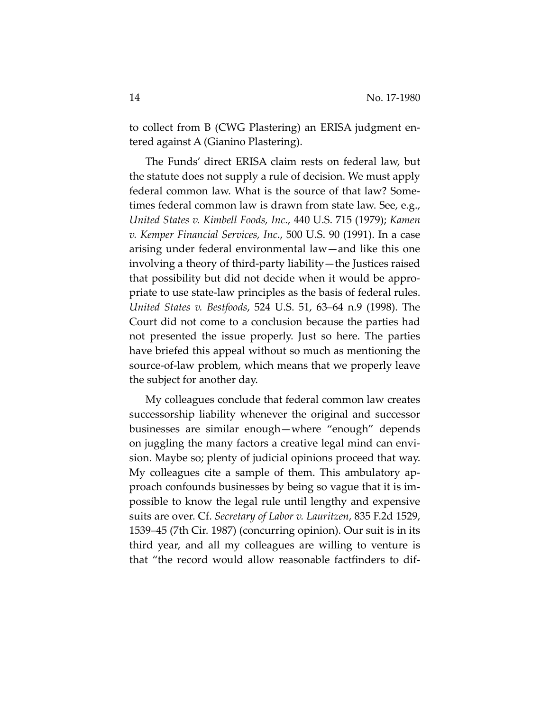to collect from B (CWG Plastering) an ERISA judgment en‐ tered against A (Gianino Plastering).

The Funds' direct ERISA claim rests on federal law, but the statute does not supply a rule of decision. We must apply federal common law. What is the source of that law? Some‐ times federal common law is drawn from state law. See, e.g., *United States v. Kimbell Foods, Inc*., 440 U.S. 715 (1979); *Kamen v. Kemper Financial Services, Inc*., 500 U.S. 90 (1991). In a case arising under federal environmental law—and like this one involving a theory of third‐party liability—the Justices raised that possibility but did not decide when it would be appro‐ priate to use state‐law principles as the basis of federal rules. *United States v. Bestfoods*, 524 U.S. 51, 63–64 n.9 (1998). The Court did not come to a conclusion because the parties had not presented the issue properly. Just so here. The parties have briefed this appeal without so much as mentioning the source‐of‐law problem, which means that we properly leave the subject for another day.

My colleagues conclude that federal common law creates successorship liability whenever the original and successor businesses are similar enough—where "enough" depends on juggling the many factors a creative legal mind can envi‐ sion. Maybe so; plenty of judicial opinions proceed that way. My colleagues cite a sample of them. This ambulatory ap‐ proach confounds businesses by being so vague that it is im‐ possible to know the legal rule until lengthy and expensive suits are over. Cf. *Secretary of Labor v. Lauritzen*, 835 F.2d 1529, 1539–45 (7th Cir. 1987) (concurring opinion). Our suit is in its third year, and all my colleagues are willing to venture is that "the record would allow reasonable factfinders to dif‐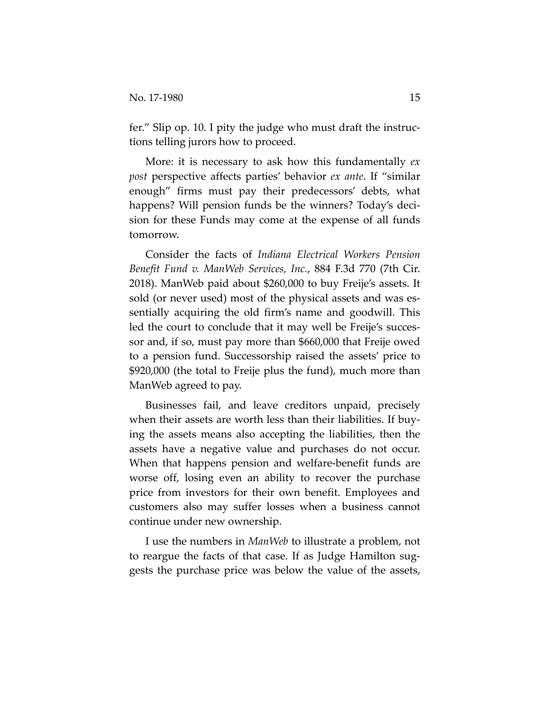fer." Slip op. 10. I pity the judge who must draft the instructions telling jurors how to proceed.

More: it is necessary to ask how this fundamentally *ex post* perspective affects parties' behavior *ex ante*. If "similar enough" firms must pay their predecessors' debts, what happens? Will pension funds be the winners? Today's decision for these Funds may come at the expense of all funds tomorrow.

Consider the facts of *Indiana Electrical Workers Pension Benefit Fund v. ManWeb Services, Inc.*, 884 F.3d 770 (7th Cir. 2018). ManWeb paid about \$260,000 to buy Freije's assets. It sold (or never used) most of the physical assets and was essentially acquiring the old firm's name and goodwill. This led the court to conclude that it may well be Freije's succes‐ sor and, if so, must pay more than \$660,000 that Freije owed to a pension fund. Successorship raised the assets' price to \$920,000 (the total to Freije plus the fund), much more than ManWeb agreed to pay.

Businesses fail, and leave creditors unpaid, precisely when their assets are worth less than their liabilities. If buying the assets means also accepting the liabilities, then the assets have a negative value and purchases do not occur. When that happens pension and welfare-benefit funds are worse off, losing even an ability to recover the purchase price from investors for their own benefit. Employees and customers also may suffer losses when a business cannot continue under new ownership.

I use the numbers in *ManWeb* to illustrate a problem, not to reargue the facts of that case. If as Judge Hamilton sug‐ gests the purchase price was below the value of the assets,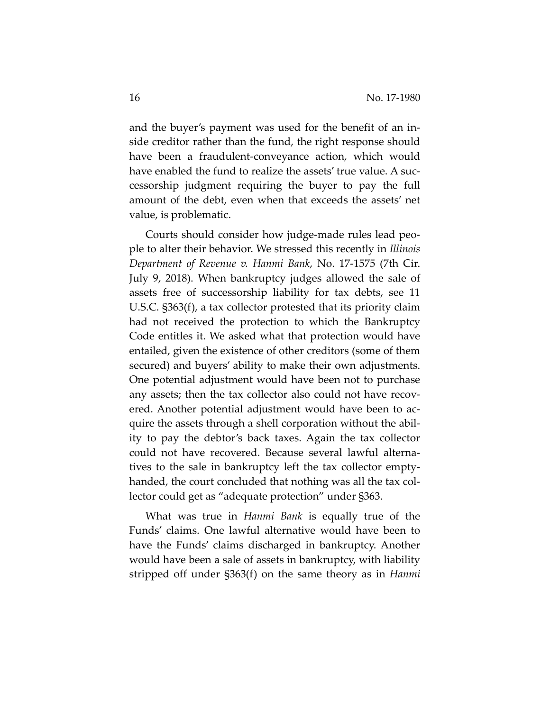and the buyer's payment was used for the benefit of an in‐ side creditor rather than the fund, the right response should have been a fraudulent-conveyance action, which would have enabled the fund to realize the assets' true value. A successorship judgment requiring the buyer to pay the full amount of the debt, even when that exceeds the assets' net value, is problematic.

Courts should consider how judge‐made rules lead peo‐ ple to alter their behavior. We stressed this recently in *Illinois Department of Revenue v. Hanmi Bank*, No. 17‐1575 (7th Cir. July 9, 2018). When bankruptcy judges allowed the sale of assets free of successorship liability for tax debts, see 11 U.S.C. §363(f), a tax collector protested that its priority claim had not received the protection to which the Bankruptcy Code entitles it. We asked what that protection would have entailed, given the existence of other creditors (some of them secured) and buyers' ability to make their own adjustments. One potential adjustment would have been not to purchase any assets; then the tax collector also could not have recovered. Another potential adjustment would have been to ac‐ quire the assets through a shell corporation without the abil‐ ity to pay the debtor's back taxes. Again the tax collector could not have recovered. Because several lawful alterna‐ tives to the sale in bankruptcy left the tax collector empty‐ handed, the court concluded that nothing was all the tax col‐ lector could get as "adequate protection" under §363.

What was true in *Hanmi Bank* is equally true of the Funds' claims. One lawful alternative would have been to have the Funds' claims discharged in bankruptcy. Another would have been a sale of assets in bankruptcy, with liability stripped off under §363(f) on the same theory as in *Hanmi*